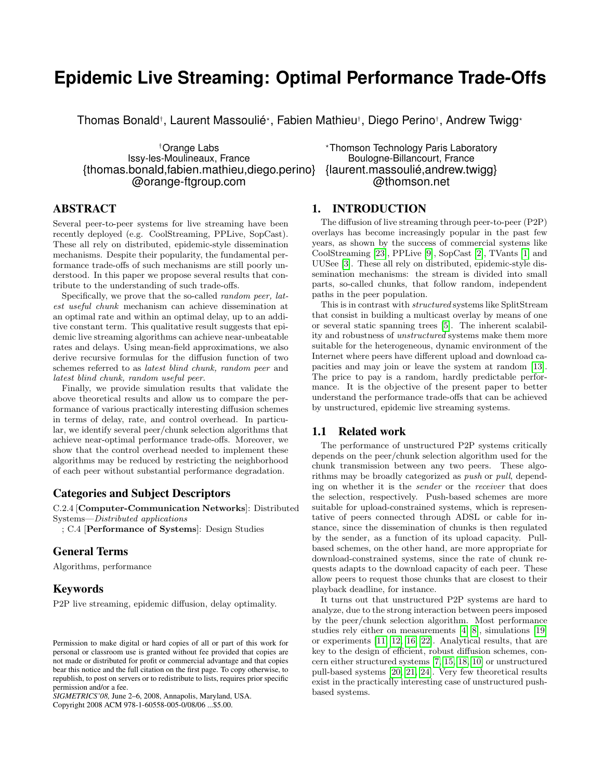# **Epidemic Live Streaming: Optimal Performance Trade-Offs**

Thomas Bonald†, Laurent Massoulié\*, Fabien Mathieu†, Diego Perino†, Andrew Twigg\*

†Orange Labs Issy-les-Moulineaux, France {thomas.bonald,fabien.mathieu,diego.perino} @orange-ftgroup.com

# ABSTRACT

Several peer-to-peer systems for live streaming have been recently deployed (e.g. CoolStreaming, PPLive, SopCast). These all rely on distributed, epidemic-style dissemination mechanisms. Despite their popularity, the fundamental performance trade-offs of such mechanisms are still poorly understood. In this paper we propose several results that contribute to the understanding of such trade-offs.

Specifically, we prove that the so-called *random peer*, *lat*est useful chunk mechanism can achieve dissemination at an optimal rate and within an optimal delay, up to an additive constant term. This qualitative result suggests that epidemic live streaming algorithms can achieve near-unbeatable rates and delays. Using mean-field approximations, we also derive recursive formulas for the diffusion function of two schemes referred to as latest blind chunk, random peer and latest blind chunk, random useful peer.

Finally, we provide simulation results that validate the above theoretical results and allow us to compare the performance of various practically interesting diffusion schemes in terms of delay, rate, and control overhead. In particular, we identify several peer/chunk selection algorithms that achieve near-optimal performance trade-offs. Moreover, we show that the control overhead needed to implement these algorithms may be reduced by restricting the neighborhood of each peer without substantial performance degradation.

#### Categories and Subject Descriptors

C.2.4 [Computer-Communication Networks]: Distributed Systems—Distributed applications

; C.4 [Performance of Systems]: Design Studies

#### General Terms

Algorithms, performance

# Keywords

P2P live streaming, epidemic diffusion, delay optimality.

*SIGMETRICS'08,* June 2–6, 2008, Annapolis, Maryland, USA.

Copyright 2008 ACM 978-1-60558-005-0/08/06 ...\$5.00.

?Thomson Technology Paris Laboratory Boulogne-Billancourt, France {laurent.massoulié,andrew.twigg} @thomson.net

# 1. INTRODUCTION

The diffusion of live streaming through peer-to-peer (P2P) overlays has become increasingly popular in the past few years, as shown by the success of commercial systems like CoolStreaming [\[23\]](#page-9-0), PPLive [\[9\]](#page-9-1), SopCast [\[2\]](#page-9-2), TVants [\[1\]](#page-9-3) and UUSee [\[3\]](#page-9-4). These all rely on distributed, epidemic-style dissemination mechanisms: the stream is divided into small parts, so-called chunks, that follow random, independent paths in the peer population.

This is in contrast with structured systems like SplitStream that consist in building a multicast overlay by means of one or several static spanning trees [\[5\]](#page-9-5). The inherent scalability and robustness of unstructured systems make them more suitable for the heterogeneous, dynamic environment of the Internet where peers have different upload and download capacities and may join or leave the system at random [\[13\]](#page-9-6). The price to pay is a random, hardly predictable performance. It is the objective of the present paper to better understand the performance trade-offs that can be achieved by unstructured, epidemic live streaming systems.

#### 1.1 Related work

The performance of unstructured P2P systems critically depends on the peer/chunk selection algorithm used for the chunk transmission between any two peers. These algorithms may be broadly categorized as push or pull, depending on whether it is the sender or the receiver that does the selection, respectively. Push-based schemes are more suitable for upload-constrained systems, which is representative of peers connected through ADSL or cable for instance, since the dissemination of chunks is then regulated by the sender, as a function of its upload capacity. Pullbased schemes, on the other hand, are more appropriate for download-constrained systems, since the rate of chunk requests adapts to the download capacity of each peer. These allow peers to request those chunks that are closest to their playback deadline, for instance.

It turns out that unstructured P2P systems are hard to analyze, due to the strong interaction between peers imposed by the peer/chunk selection algorithm. Most performance studies rely either on measurements [\[4,](#page-9-7) [8\]](#page-9-8), simulations [\[19\]](#page-9-9) or experiments [\[11,](#page-9-10) [12,](#page-9-11) [16,](#page-9-12) [22\]](#page-9-13). Analytical results, that are key to the design of efficient, robust diffusion schemes, concern either structured systems [\[7,](#page-9-14) [15,](#page-9-15) [18,](#page-9-16) [10\]](#page-9-17) or unstructured pull-based systems [\[20,](#page-9-18) [21,](#page-9-19) [24\]](#page-9-20). Very few theoretical results exist in the practically interesting case of unstructured pushbased systems.

Permission to make digital or hard copies of all or part of this work for personal or classroom use is granted without fee provided that copies are not made or distributed for profit or commercial advantage and that copies bear this notice and the full citation on the first page. To copy otherwise, to republish, to post on servers or to redistribute to lists, requires prior specific permission and/or a fee.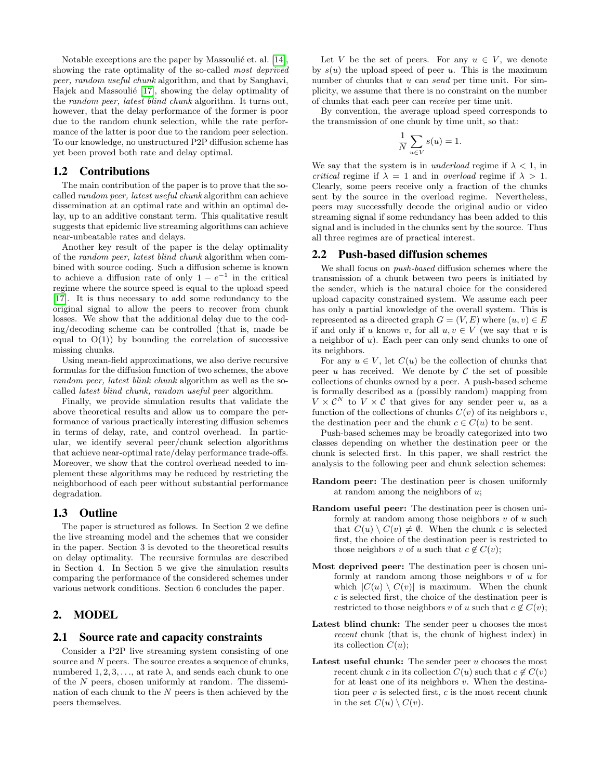Notable exceptions are the paper by Massoulié et. al.  $[14]$ , showing the rate optimality of the so-called most deprived peer, random useful chunk algorithm, and that by Sanghavi, Hajek and Massoulié [\[17\]](#page-9-22), showing the delay optimality of the random peer, latest blind chunk algorithm. It turns out, however, that the delay performance of the former is poor due to the random chunk selection, while the rate performance of the latter is poor due to the random peer selection. To our knowledge, no unstructured P2P diffusion scheme has yet been proved both rate and delay optimal.

#### 1.2 Contributions

The main contribution of the paper is to prove that the socalled random peer, latest useful chunk algorithm can achieve dissemination at an optimal rate and within an optimal delay, up to an additive constant term. This qualitative result suggests that epidemic live streaming algorithms can achieve near-unbeatable rates and delays.

Another key result of the paper is the delay optimality of the random peer, latest blind chunk algorithm when combined with source coding. Such a diffusion scheme is known to achieve a diffusion rate of only  $1 - e^{-1}$  in the critical regime where the source speed is equal to the upload speed [\[17\]](#page-9-22). It is thus necessary to add some redundancy to the original signal to allow the peers to recover from chunk losses. We show that the additional delay due to the coding/decoding scheme can be controlled (that is, made be equal to  $O(1)$  by bounding the correlation of successive missing chunks.

Using mean-field approximations, we also derive recursive formulas for the diffusion function of two schemes, the above random peer, latest blink chunk algorithm as well as the socalled latest blind chunk, random useful peer algorithm.

Finally, we provide simulation results that validate the above theoretical results and allow us to compare the performance of various practically interesting diffusion schemes in terms of delay, rate, and control overhead. In particular, we identify several peer/chunk selection algorithms that achieve near-optimal rate/delay performance trade-offs. Moreover, we show that the control overhead needed to implement these algorithms may be reduced by restricting the neighborhood of each peer without substantial performance degradation.

#### 1.3 Outline

The paper is structured as follows. In Section 2 we define the live streaming model and the schemes that we consider in the paper. Section 3 is devoted to the theoretical results on delay optimality. The recursive formulas are described in Section 4. In Section 5 we give the simulation results comparing the performance of the considered schemes under various network conditions. Section 6 concludes the paper.

#### 2. MODEL

#### 2.1 Source rate and capacity constraints

Consider a P2P live streaming system consisting of one source and N peers. The source creates a sequence of chunks, numbered  $1, 2, 3, \ldots$ , at rate  $\lambda$ , and sends each chunk to one of the N peers, chosen uniformly at random. The dissemination of each chunk to the  $N$  peers is then achieved by the peers themselves.

Let V be the set of peers. For any  $u \in V$ , we denote by  $s(u)$  the upload speed of peer u. This is the maximum number of chunks that u can send per time unit. For simplicity, we assume that there is no constraint on the number of chunks that each peer can receive per time unit.

By convention, the average upload speed corresponds to the transmission of one chunk by time unit, so that:

$$
\frac{1}{N} \sum_{u \in V} s(u) = 1.
$$

We say that the system is in underload regime if  $\lambda < 1$ , in critical regime if  $\lambda = 1$  and in overload regime if  $\lambda > 1$ . Clearly, some peers receive only a fraction of the chunks sent by the source in the overload regime. Nevertheless, peers may successfully decode the original audio or video streaming signal if some redundancy has been added to this signal and is included in the chunks sent by the source. Thus all three regimes are of practical interest.

#### 2.2 Push-based diffusion schemes

We shall focus on push-based diffusion schemes where the transmission of a chunk between two peers is initiated by the sender, which is the natural choice for the considered upload capacity constrained system. We assume each peer has only a partial knowledge of the overall system. This is represented as a directed graph  $G = (V, E)$  where  $(u, v) \in E$ if and only if u knows v, for all  $u, v \in V$  (we say that v is a neighbor of u). Each peer can only send chunks to one of its neighbors.

For any  $u \in V$ , let  $C(u)$  be the collection of chunks that peer u has received. We denote by  $\mathcal C$  the set of possible collections of chunks owned by a peer. A push-based scheme is formally described as a (possibly random) mapping from  $V \times \mathcal{C}^N$  to  $V \times \mathcal{C}$  that gives for any sender peer u, as a function of the collections of chunks  $C(v)$  of its neighbors v, the destination peer and the chunk  $c \in C(u)$  to be sent.

Push-based schemes may be broadly categorized into two classes depending on whether the destination peer or the chunk is selected first. In this paper, we shall restrict the analysis to the following peer and chunk selection schemes:

- Random peer: The destination peer is chosen uniformly at random among the neighbors of  $u$ ;
- Random useful peer: The destination peer is chosen uniformly at random among those neighbors  $v$  of  $u$  such that  $C(u) \setminus C(v) \neq \emptyset$ . When the chunk c is selected first, the choice of the destination peer is restricted to those neighbors v of u such that  $c \notin C(v)$ ;
- Most deprived peer: The destination peer is chosen uniformly at random among those neighbors  $v$  of  $u$  for which  $|C(u) \setminus C(v)|$  is maximum. When the chunk  $c$  is selected first, the choice of the destination peer is restricted to those neighbors v of u such that  $c \notin C(v)$ ;
- Latest blind chunk: The sender peer  $u$  chooses the most recent chunk (that is, the chunk of highest index) in its collection  $C(u)$ ;
- Latest useful chunk: The sender peer  $u$  chooses the most recent chunk c in its collection  $C(u)$  such that  $c \notin C(v)$ for at least one of its neighbors  $v$ . When the destination peer  $v$  is selected first,  $c$  is the most recent chunk in the set  $C(u) \setminus C(v)$ .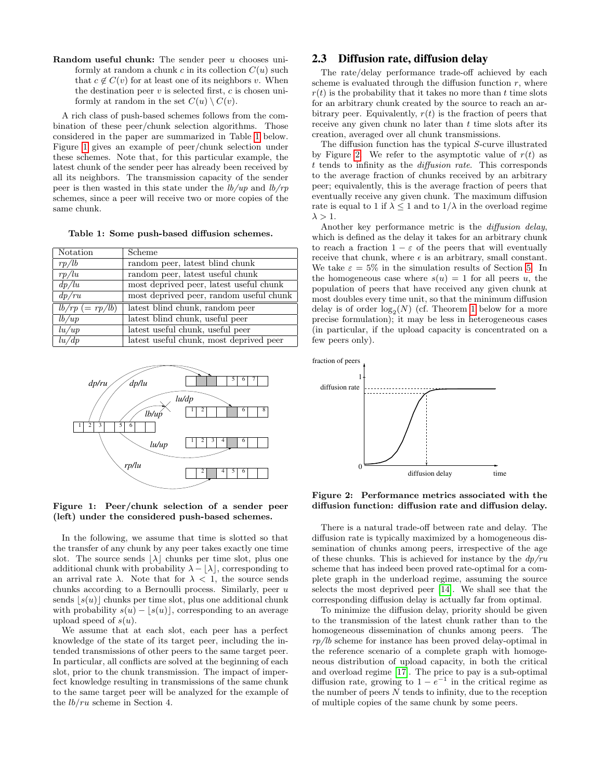Random useful chunk: The sender peer  $u$  chooses uniformly at random a chunk c in its collection  $C(u)$  such that  $c \notin C(v)$  for at least one of its neighbors v. When the destination peer  $v$  is selected first,  $c$  is chosen uniformly at random in the set  $C(u) \setminus C(v)$ .

A rich class of push-based schemes follows from the combination of these peer/chunk selection algorithms. Those considered in the paper are summarized in Table [1](#page-2-0) below. Figure [1](#page-2-1) gives an example of peer/chunk selection under these schemes. Note that, for this particular example, the latest chunk of the sender peer has already been received by all its neighbors. The transmission capacity of the sender peer is then wasted in this state under the  $lb/up$  and  $lb/rp$ schemes, since a peer will receive two or more copies of the same chunk.

<span id="page-2-0"></span>Table 1: Some push-based diffusion schemes.

| Notation                        | Scheme                                  |
|---------------------------------|-----------------------------------------|
| rp/lb                           | random peer, latest blind chunk         |
| rp/lu                           | random peer, latest useful chunk        |
| dp/lu                           | most deprived peer, latest useful chunk |
| dp/ru                           | most deprived peer, random useful chunk |
| $\overline{lb/rp}$ (= $rp/lb$ ) | latest blind chunk, random peer         |
| lb/up                           | latest blind chunk, useful peer         |
| lu/up                           | latest useful chunk, useful peer        |
| lu/dp                           | latest useful chunk, most deprived peer |



<span id="page-2-1"></span>Figure 1: Peer/chunk selection of a sender peer (left) under the considered push-based schemes.

In the following, we assume that time is slotted so that the transfer of any chunk by any peer takes exactly one time slot. The source sends  $|\lambda|$  chunks per time slot, plus one additional chunk with probability  $\lambda - |\lambda|$ , corresponding to an arrival rate  $\lambda$ . Note that for  $\lambda$  < 1, the source sends chunks according to a Bernoulli process. Similarly, peer  $u$ sends  $|s(u)|$  chunks per time slot, plus one additional chunk with probability  $s(u) - |s(u)|$ , corresponding to an average upload speed of  $s(u)$ .

We assume that at each slot, each peer has a perfect knowledge of the state of its target peer, including the intended transmissions of other peers to the same target peer. In particular, all conflicts are solved at the beginning of each slot, prior to the chunk transmission. The impact of imperfect knowledge resulting in transmissions of the same chunk to the same target peer will be analyzed for the example of the lb/ru scheme in Section 4.

#### <span id="page-2-3"></span>2.3 Diffusion rate, diffusion delay

The rate/delay performance trade-off achieved by each scheme is evaluated through the diffusion function  $r$ , where  $r(t)$  is the probability that it takes no more than t time slots for an arbitrary chunk created by the source to reach an arbitrary peer. Equivalently,  $r(t)$  is the fraction of peers that receive any given chunk no later than  $t$  time slots after its creation, averaged over all chunk transmissions.

The diffusion function has the typical S-curve illustrated by Figure [2.](#page-2-2) We refer to the asymptotic value of  $r(t)$  as t tends to infinity as the diffusion rate. This corresponds to the average fraction of chunks received by an arbitrary peer; equivalently, this is the average fraction of peers that eventually receive any given chunk. The maximum diffusion rate is equal to 1 if  $\lambda \leq 1$  and to  $1/\lambda$  in the overload regime  $\lambda > 1$ .

Another key performance metric is the diffusion delay, which is defined as the delay it takes for an arbitrary chunk to reach a fraction  $1 - \varepsilon$  of the peers that will eventually receive that chunk, where  $\epsilon$  is an arbitrary, small constant. We take  $\varepsilon = 5\%$  in the simulation results of Section [5.](#page-5-0) In the homogeneous case where  $s(u) = 1$  for all peers u, the population of peers that have received any given chunk at most doubles every time unit, so that the minimum diffusion delay is of order  $log_2(N)$  (cf. Theorem [1](#page-3-0) below for a more precise formulation); it may be less in heterogeneous cases (in particular, if the upload capacity is concentrated on a few peers only).



<span id="page-2-2"></span>Figure 2: Performance metrics associated with the diffusion function: diffusion rate and diffusion delay.

There is a natural trade-off between rate and delay. The diffusion rate is typically maximized by a homogeneous dissemination of chunks among peers, irrespective of the age of these chunks. This is achieved for instance by the  $dp/ru$ scheme that has indeed been proved rate-optimal for a complete graph in the underload regime, assuming the source selects the most deprived peer [\[14\]](#page-9-21). We shall see that the corresponding diffusion delay is actually far from optimal.

To minimize the diffusion delay, priority should be given to the transmission of the latest chunk rather than to the homogeneous dissemination of chunks among peers. The rp/lb scheme for instance has been proved delay-optimal in the reference scenario of a complete graph with homogeneous distribution of upload capacity, in both the critical and overload regime [\[17\]](#page-9-22). The price to pay is a sub-optimal diffusion rate, growing to  $1 - e^{-1}$  in the critical regime as the number of peers  $N$  tends to infinity, due to the reception of multiple copies of the same chunk by some peers.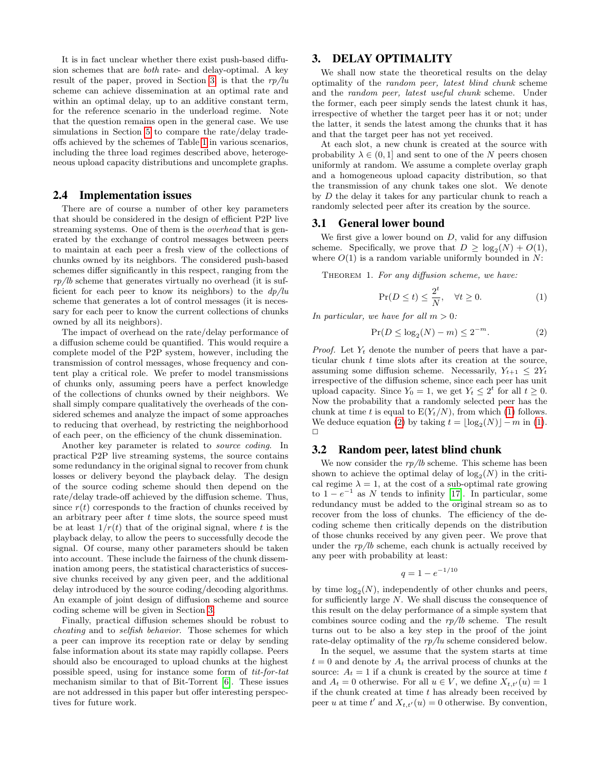It is in fact unclear whether there exist push-based diffusion schemes that are both rate- and delay-optimal. A key result of the paper, proved in Section [3,](#page-3-1) is that the  $rp/lu$ scheme can achieve dissemination at an optimal rate and within an optimal delay, up to an additive constant term, for the reference scenario in the underload regime. Note that the question remains open in the general case. We use simulations in Section [5](#page-5-0) to compare the rate/delay tradeoffs achieved by the schemes of Table [1](#page-2-0) in various scenarios, including the three load regimes described above, heterogeneous upload capacity distributions and uncomplete graphs.

#### <span id="page-3-4"></span>2.4 Implementation issues

There are of course a number of other key parameters that should be considered in the design of efficient P2P live streaming systems. One of them is the overhead that is generated by the exchange of control messages between peers to maintain at each peer a fresh view of the collections of chunks owned by its neighbors. The considered push-based schemes differ significantly in this respect, ranging from the  $rp/lb$  scheme that generates virtually no overhead (it is sufficient for each peer to know its neighbors) to the  $dp/lu$ scheme that generates a lot of control messages (it is necessary for each peer to know the current collections of chunks owned by all its neighbors).

The impact of overhead on the rate/delay performance of a diffusion scheme could be quantified. This would require a complete model of the P2P system, however, including the transmission of control messages, whose frequency and content play a critical role. We prefer to model transmissions of chunks only, assuming peers have a perfect knowledge of the collections of chunks owned by their neighbors. We shall simply compare qualitatively the overheads of the considered schemes and analyze the impact of some approaches to reducing that overhead, by restricting the neighborhood of each peer, on the efficiency of the chunk dissemination.

Another key parameter is related to source coding. In practical P2P live streaming systems, the source contains some redundancy in the original signal to recover from chunk losses or delivery beyond the playback delay. The design of the source coding scheme should then depend on the rate/delay trade-off achieved by the diffusion scheme. Thus, since  $r(t)$  corresponds to the fraction of chunks received by an arbitrary peer after  $t$  time slots, the source speed must be at least  $1/r(t)$  that of the original signal, where t is the playback delay, to allow the peers to successfully decode the signal. Of course, many other parameters should be taken into account. These include the fairness of the chunk dissemination among peers, the statistical characteristics of successive chunks received by any given peer, and the additional delay introduced by the source coding/decoding algorithms. An example of joint design of diffusion scheme and source coding scheme will be given in Section [3.](#page-3-1)

Finally, practical diffusion schemes should be robust to cheating and to selfish behavior. Those schemes for which a peer can improve its reception rate or delay by sending false information about its state may rapidly collapse. Peers should also be encouraged to upload chunks at the highest possible speed, using for instance some form of tit-for-tat mechanism similar to that of Bit-Torrent [\[6\]](#page-9-23). These issues are not addressed in this paper but offer interesting perspectives for future work.

# <span id="page-3-1"></span>3. DELAY OPTIMALITY

We shall now state the theoretical results on the delay optimality of the random peer, latest blind chunk scheme and the random peer, latest useful chunk scheme. Under the former, each peer simply sends the latest chunk it has, irrespective of whether the target peer has it or not; under the latter, it sends the latest among the chunks that it has and that the target peer has not yet received.

At each slot, a new chunk is created at the source with probability  $\lambda \in (0, 1]$  and sent to one of the N peers chosen uniformly at random. We assume a complete overlay graph and a homogeneous upload capacity distribution, so that the transmission of any chunk takes one slot. We denote by D the delay it takes for any particular chunk to reach a randomly selected peer after its creation by the source.

#### 3.1 General lower bound

We first give a lower bound on  $D$ , valid for any diffusion scheme. Specifically, we prove that  $D \geq \log_2(N) + O(1)$ , where  $O(1)$  is a random variable uniformly bounded in  $N$ :

THEOREM 1. For any diffusion scheme, we have:

<span id="page-3-2"></span><span id="page-3-0"></span>
$$
\Pr(D \le t) \le \frac{2^t}{N}, \quad \forall t \ge 0. \tag{1}
$$

In particular, we have for all  $m > 0$ :

<span id="page-3-3"></span>
$$
\Pr(D \le \log_2(N) - m) \le 2^{-m}.\tag{2}
$$

*Proof.* Let  $Y_t$  denote the number of peers that have a particular chunk t time slots after its creation at the source, assuming some diffusion scheme. Necessarily,  $Y_{t+1} \leq 2Y_t$ irrespective of the diffusion scheme, since each peer has unit upload capacity. Since  $Y_0 = 1$ , we get  $Y_t \leq 2^t$  for all  $t \geq 0$ . Now the probability that a randomly selected peer has the chunk at time t is equal to  $E(Y_t/N)$ , from which [\(1\)](#page-3-2) follows. We deduce equation [\(2\)](#page-3-3) by taking  $t = \lfloor \log_2(N) \rfloor - m$  in [\(1\)](#page-3-2).  $\Box$ 

#### 3.2 Random peer, latest blind chunk

We now consider the  $rp/lb$  scheme. This scheme has been shown to achieve the optimal delay of  $log_2(N)$  in the critical regime  $\lambda = 1$ , at the cost of a sub-optimal rate growing to  $1 - e^{-1}$  as N tends to infinity [\[17\]](#page-9-22). In particular, some redundancy must be added to the original stream so as to recover from the loss of chunks. The efficiency of the decoding scheme then critically depends on the distribution of those chunks received by any given peer. We prove that under the  $rp/lb$  scheme, each chunk is actually received by any peer with probability at least:

$$
q = 1 - e^{-1/10}
$$

by time  $log_2(N)$ , independently of other chunks and peers, for sufficiently large N. We shall discuss the consequence of this result on the delay performance of a simple system that combines source coding and the  $rp/lb$  scheme. The result turns out to be also a key step in the proof of the joint rate-delay optimality of the  $rp/lu$  scheme considered below.

In the sequel, we assume that the system starts at time  $t = 0$  and denote by  $A_t$  the arrival process of chunks at the source:  $A_t = 1$  if a chunk is created by the source at time t and  $A_t = 0$  otherwise. For all  $u \in V$ , we define  $X_{t,t}(u) = 1$ if the chunk created at time  $t$  has already been received by peer u at time t' and  $X_{t,t'}(u) = 0$  otherwise. By convention,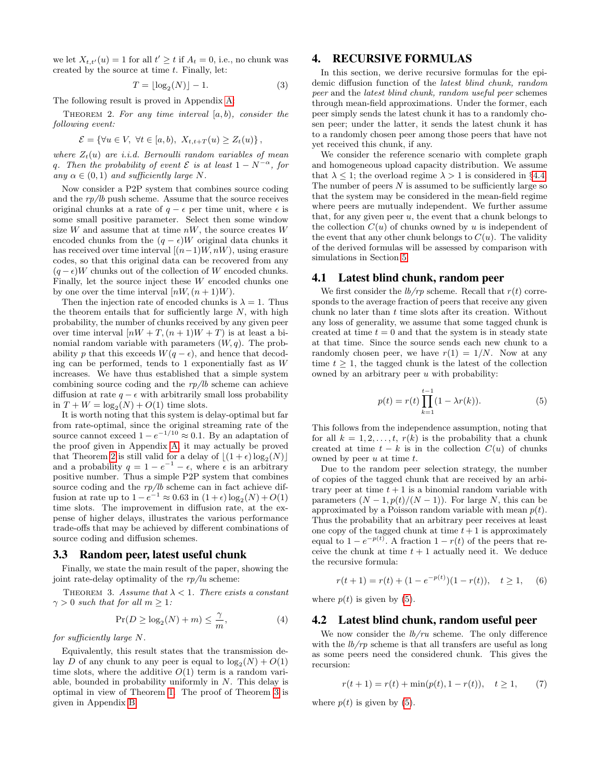we let  $X_{t,t'}(u) = 1$  for all  $t' \geq t$  if  $A_t = 0$ , i.e., no chunk was created by the source at time  $t$ . Finally, let:

<span id="page-4-7"></span>
$$
T = \lfloor \log_2(N) \rfloor - 1. \tag{3}
$$

The following result is proved in Appendix [A:](#page-9-24)

THEOREM 2. For any time interval  $[a, b)$ , consider the following event:

$$
\mathcal{E} = \{ \forall u \in V, \ \forall t \in [a, b), \ X_{t,t+T}(u) \ge Z_t(u) \},
$$

where  $Z_t(u)$  are i.i.d. Bernoulli random variables of mean q. Then the probability of event  $\mathcal E$  is at least  $1 - N^{-\alpha}$ , for any  $\alpha \in (0,1)$  and sufficiently large N.

Now consider a P2P system that combines source coding and the  $rp/lb$  push scheme. Assume that the source receives original chunks at a rate of  $q - \epsilon$  per time unit, where  $\epsilon$  is some small positive parameter. Select then some window size  $W$  and assume that at time  $nW$ , the source creates  $W$ encoded chunks from the  $(q - \epsilon)W$  original data chunks it has received over time interval  $[(n-1)W, nW)$ , using erasure codes, so that this original data can be recovered from any  $(q - \epsilon)W$  chunks out of the collection of W encoded chunks. Finally, let the source inject these W encoded chunks one by one over the time interval  $[nW,(n+1)W)$ .

Then the injection rate of encoded chunks is  $\lambda = 1$ . Thus the theorem entails that for sufficiently large  $N$ , with high probability, the number of chunks received by any given peer over time interval  $[nW + T, (n + 1)W + T]$  is at least a binomial random variable with parameters  $(W, q)$ . The probability p that this exceeds  $W(q - \epsilon)$ , and hence that decoding can be performed, tends to 1 exponentially fast as W increases. We have thus established that a simple system combining source coding and the  $rp/lb$  scheme can achieve diffusion at rate  $q - \epsilon$  with arbitrarily small loss probability in  $T + W = log<sub>2</sub>(N) + O(1)$  time slots.

It is worth noting that this system is delay-optimal but far from rate-optimal, since the original streaming rate of the source cannot exceed  $1 - e^{-1/10} \approx 0.1$ . By an adaptation of the proof given in Appendix [A,](#page-9-24) it may actually be proved that Theorem [2](#page-4-0) is still valid for a delay of  $\lfloor (1 + \epsilon) \log_2(N) \rfloor$ and a probability  $q = 1 - e^{-1} - \epsilon$ , where  $\epsilon$  is an arbitrary positive number. Thus a simple P2P system that combines source coding and the  $rp/lb$  scheme can in fact achieve diffusion at rate up to  $1 - e^{-1} \approx 0.63$  in  $(1 + \epsilon) \log_2(N) + O(1)$ time slots. The improvement in diffusion rate, at the expense of higher delays, illustrates the various performance trade-offs that may be achieved by different combinations of source coding and diffusion schemes.

#### 3.3 Random peer, latest useful chunk

Finally, we state the main result of the paper, showing the joint rate-delay optimality of the  $rp/lu$  scheme:

THEOREM 3. Assume that  $\lambda < 1$ . There exists a constant  $\gamma > 0$  such that for all  $m > 1$ :

$$
\Pr(D \ge \log_2(N) + m) \le \frac{\gamma}{m},\tag{4}
$$

for sufficiently large N.

Equivalently, this result states that the transmission delay D of any chunk to any peer is equal to  $log_2(N) + O(1)$ time slots, where the additive  $O(1)$  term is a random variable, bounded in probability uniformly in  $N$ . This delay is optimal in view of Theorem [1.](#page-3-0) The proof of Theorem [3](#page-4-1) is given in Appendix [B.](#page-10-0)

#### <span id="page-4-6"></span>4. RECURSIVE FORMULAS

<span id="page-4-0"></span>In this section, we derive recursive formulas for the epidemic diffusion function of the latest blind chunk, random peer and the latest blind chunk, random useful peer schemes through mean-field approximations. Under the former, each peer simply sends the latest chunk it has to a randomly chosen peer; under the latter, it sends the latest chunk it has to a randomly chosen peer among those peers that have not yet received this chunk, if any.

We consider the reference scenario with complete graph and homogeneous upload capacity distribution. We assume that  $\lambda \leq 1$ ; the overload regime  $\lambda > 1$  is considered in §[4.4.](#page-5-1) The number of peers  $N$  is assumed to be sufficiently large so that the system may be considered in the mean-field regime where peers are mutually independent. We further assume that, for any given peer  $u$ , the event that a chunk belongs to the collection  $C(u)$  of chunks owned by u is independent of the event that any other chunk belongs to  $C(u)$ . The validity of the derived formulas will be assessed by comparison with simulations in Section [5.](#page-5-0)

#### <span id="page-4-3"></span>4.1 Latest blind chunk, random peer

We first consider the  $lb/rp$  scheme. Recall that  $r(t)$  corresponds to the average fraction of peers that receive any given chunk no later than t time slots after its creation. Without any loss of generality, we assume that some tagged chunk is created at time  $t = 0$  and that the system is in steady state at that time. Since the source sends each new chunk to a randomly chosen peer, we have  $r(1) = 1/N$ . Now at any time  $t \geq 1$ , the tagged chunk is the latest of the collection owned by an arbitrary peer  $u$  with probability:

<span id="page-4-2"></span>
$$
p(t) = r(t) \prod_{k=1}^{t-1} (1 - \lambda r(k)).
$$
 (5)

This follows from the independence assumption, noting that for all  $k = 1, 2, \ldots, t, r(k)$  is the probability that a chunk created at time  $t - k$  is in the collection  $C(u)$  of chunks owned by peer  $u$  at time  $t$ .

Due to the random peer selection strategy, the number of copies of the tagged chunk that are received by an arbitrary peer at time  $t + 1$  is a binomial random variable with parameters  $(N-1, p(t)/(N-1))$ . For large N, this can be approximated by a Poisson random variable with mean  $p(t)$ . Thus the probability that an arbitrary peer receives at least one copy of the tagged chunk at time  $t + 1$  is approximately equal to  $1 - e^{-p(t)}$ . A fraction  $1 - r(t)$  of the peers that receive the chunk at time  $t + 1$  actually need it. We deduce the recursive formula:

<span id="page-4-4"></span>
$$
r(t+1) = r(t) + (1 - e^{-p(t)}) (1 - r(t)), \quad t \ge 1, \quad (6)
$$

<span id="page-4-1"></span>where  $p(t)$  is given by [\(5\)](#page-4-2).

#### 4.2 Latest blind chunk, random useful peer

We now consider the  $lb/ru$  scheme. The only difference with the  $lb/rp$  scheme is that all transfers are useful as long as some peers need the considered chunk. This gives the recursion:

<span id="page-4-5"></span>
$$
r(t+1) = r(t) + \min(p(t), 1 - r(t)), \quad t \ge 1,
$$
 (7)

where  $p(t)$  is given by [\(5\)](#page-4-2).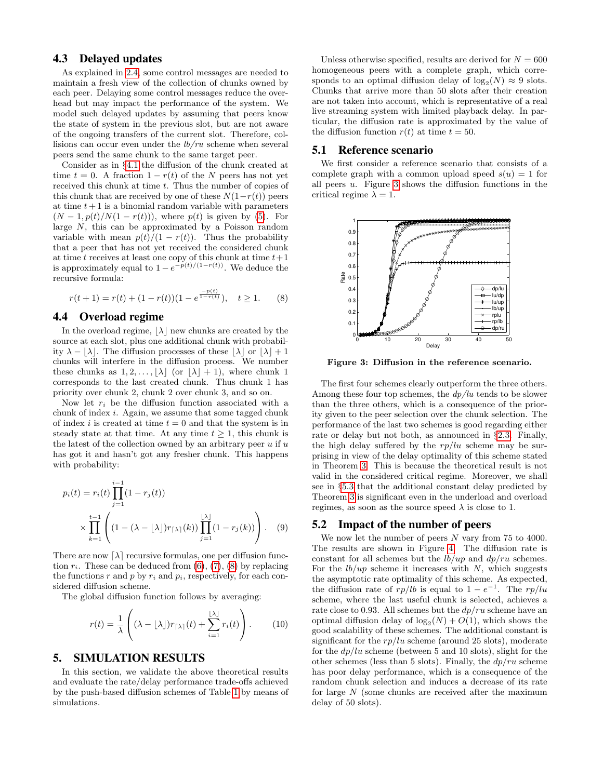#### 4.3 Delayed updates

As explained in [2.4,](#page-3-4) some control messages are needed to maintain a fresh view of the collection of chunks owned by each peer. Delaying some control messages reduce the overhead but may impact the performance of the system. We model such delayed updates by assuming that peers know the state of system in the previous slot, but are not aware of the ongoing transfers of the current slot. Therefore, collisions can occur even under the  $lb/ru$  scheme when several peers send the same chunk to the same target peer.

Consider as in §[4.1](#page-4-3) the diffusion of the chunk created at time  $t = 0$ . A fraction  $1 - r(t)$  of the N peers has not yet received this chunk at time t. Thus the number of copies of this chunk that are received by one of these  $N(1-r(t))$  peers at time  $t + 1$  is a binomial random variable with parameters  $(N-1, p(t)/N(1-r(t))),$  where  $p(t)$  is given by [\(5\)](#page-4-2). For large  $N$ , this can be approximated by a Poisson random variable with mean  $p(t)/(1 - r(t))$ . Thus the probability that a peer that has not yet received the considered chunk at time t receives at least one copy of this chunk at time  $t+1$ is approximately equal to  $1 - e^{-p(t)/(1 - r(t))}$ . We deduce the recursive formula:

<span id="page-5-2"></span>
$$
r(t+1) = r(t) + (1 - r(t))(1 - e^{\frac{-p(t)}{1 - r(t)}}), \quad t \ge 1.
$$
 (8)

 $n(t+1)$ 

#### <span id="page-5-1"></span>4.4 Overload regime

In the overload regime,  $\left\lfloor \lambda\right\rfloor$  new chunks are created by the source at each slot, plus one additional chunk with probability  $\lambda - |\lambda|$ . The diffusion processes of these  $|\lambda|$  or  $|\lambda| + 1$ chunks will interfere in the diffusion process. We number these chunks as  $1, 2, \ldots, |\lambda|$  (or  $|\lambda| + 1$ ), where chunk 1 corresponds to the last created chunk. Thus chunk 1 has priority over chunk 2, chunk 2 over chunk 3, and so on.

Now let  $r_i$  be the diffusion function associated with a chunk of index i. Again, we assume that some tagged chunk of index i is created at time  $t = 0$  and that the system is in steady state at that time. At any time  $t \geq 1$ , this chunk is the latest of the collection owned by an arbitrary peer  $u$  if  $u$ has got it and hasn't got any fresher chunk. This happens with probability:

$$
p_i(t) = r_i(t) \prod_{j=1}^{i-1} (1 - r_j(t))
$$
  
 
$$
\times \prod_{k=1}^{t-1} \left( (1 - (\lambda - \lambda]) r_{\lceil \lambda \rceil}(k)) \prod_{j=1}^{\lfloor \lambda \rfloor} (1 - r_j(k)) \right). \quad (9)
$$

There are now  $\lceil \lambda \rceil$  recursive formulas, one per diffusion function  $r_i$ . These can be deduced from [\(6\)](#page-4-4), [\(7\)](#page-4-5), [\(8\)](#page-5-2) by replacing the functions r and p by  $r_i$  and  $p_i$ , respectively, for each considered diffusion scheme.

The global diffusion function follows by averaging:

$$
r(t) = \frac{1}{\lambda} \left( (\lambda - \lfloor \lambda \rfloor) r_{\lceil \lambda \rceil}(t) + \sum_{i=1}^{\lfloor \lambda \rfloor} r_i(t) \right).
$$
 (10)

#### <span id="page-5-0"></span>5. SIMULATION RESULTS

In this section, we validate the above theoretical results and evaluate the rate/delay performance trade-offs achieved by the push-based diffusion schemes of Table [1](#page-2-0) by means of simulations.

Unless otherwise specified, results are derived for  $N = 600$ homogeneous peers with a complete graph, which corresponds to an optimal diffusion delay of  $log_2(N) \approx 9$  slots. Chunks that arrive more than 50 slots after their creation are not taken into account, which is representative of a real live streaming system with limited playback delay. In particular, the diffusion rate is approximated by the value of the diffusion function  $r(t)$  at time  $t = 50$ .

#### 5.1 Reference scenario

We first consider a reference scenario that consists of a complete graph with a common upload speed  $s(u) = 1$  for all peers u. Figure [3](#page-5-3) shows the diffusion functions in the critical regime  $\lambda = 1$ .



<span id="page-5-3"></span>Figure 3: Diffusion in the reference scenario.

The first four schemes clearly outperform the three others. Among these four top schemes, the  $dp/lu$  tends to be slower than the three others, which is a consequence of the priority given to the peer selection over the chunk selection. The performance of the last two schemes is good regarding either rate or delay but not both, as announced in §[2.3.](#page-2-3) Finally, the high delay suffered by the  $rp/lu$  scheme may be surprising in view of the delay optimality of this scheme stated in Theorem [3.](#page-4-1) This is because the theoretical result is not valid in the considered critical regime. Moreover, we shall see in §[5.3](#page-6-0) that the additional constant delay predicted by Theorem [3](#page-4-1) is significant even in the underload and overload regimes, as soon as the source speed  $\lambda$  is close to 1.

#### 5.2 Impact of the number of peers

We now let the number of peers  $N$  vary from 75 to 4000. The results are shown in Figure [4.](#page-6-1) The diffusion rate is constant for all schemes but the  $lb/up$  and  $dp/ru$  schemes. For the  $lb/up$  scheme it increases with N, which suggests the asymptotic rate optimality of this scheme. As expected, the diffusion rate of  $rp/lb$  is equal to  $1-e^{-1}$ . The  $rp/lu$ scheme, where the last useful chunk is selected, achieves a rate close to 0.93. All schemes but the  $dp/ru$  scheme have an optimal diffusion delay of  $\log_2(N) + O(1)$ , which shows the good scalability of these schemes. The additional constant is significant for the  $rp/lu$  scheme (around 25 slots), moderate for the  $dp/lu$  scheme (between 5 and 10 slots), slight for the other schemes (less than 5 slots). Finally, the  $dp/ru$  scheme has poor delay performance, which is a consequence of the random chunk selection and induces a decrease of its rate for large N (some chunks are received after the maximum delay of 50 slots).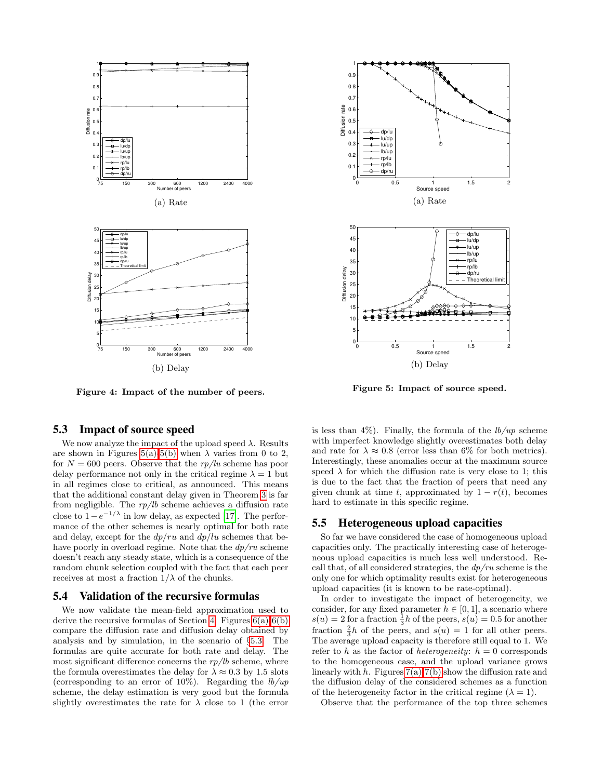

<span id="page-6-1"></span>Figure 4: Impact of the number of peers.

#### <span id="page-6-0"></span>5.3 Impact of source speed

We now analyze the impact of the upload speed  $\lambda$ . Results are shown in Figures [5\(a\)](#page-6-2)[-5\(b\)](#page-6-3) when  $\lambda$  varies from 0 to 2, for  $N = 600$  peers. Observe that the  $rp/lu$  scheme has poor delay performance not only in the critical regime  $\lambda = 1$  but in all regimes close to critical, as announced. This means that the additional constant delay given in Theorem [3](#page-4-1) is far from negligible. The  $rp/lb$  scheme achieves a diffusion rate close to  $1-e^{-1/\lambda}$  in low delay, as expected [\[17\]](#page-9-22). The performance of the other schemes is nearly optimal for both rate and delay, except for the  $dp/ru$  and  $dp/lu$  schemes that behave poorly in overload regime. Note that the  $dp/ru$  scheme doesn't reach any steady state, which is a consequence of the random chunk selection coupled with the fact that each peer receives at most a fraction  $1/\lambda$  of the chunks.

#### 5.4 Validation of the recursive formulas

We now validate the mean-field approximation used to derive the recursive formulas of Section [4.](#page-4-6) Figures  $6(a)$ - $6(b)$ compare the diffusion rate and diffusion delay obtained by analysis and by simulation, in the scenario of §[5.3.](#page-6-0) The formulas are quite accurate for both rate and delay. The most significant difference concerns the  $rp/lb$  scheme, where the formula overestimates the delay for  $\lambda \approx 0.3$  by 1.5 slots (corresponding to an error of 10%). Regarding the  $lb/up$ scheme, the delay estimation is very good but the formula slightly overestimates the rate for  $\lambda$  close to 1 (the error

<span id="page-6-2"></span>

<span id="page-6-3"></span>Figure 5: Impact of source speed.

is less than  $4\%$ ). Finally, the formula of the  $lb/up$  scheme with imperfect knowledge slightly overestimates both delay and rate for  $\lambda \approx 0.8$  (error less than 6% for both metrics). Interestingly, these anomalies occur at the maximum source speed  $\lambda$  for which the diffusion rate is very close to 1; this is due to the fact that the fraction of peers that need any given chunk at time t, approximated by  $1 - r(t)$ , becomes hard to estimate in this specific regime.

#### <span id="page-6-4"></span>5.5 Heterogeneous upload capacities

So far we have considered the case of homogeneous upload capacities only. The practically interesting case of heterogeneous upload capacities is much less well understood. Recall that, of all considered strategies, the  $dp/ru$  scheme is the only one for which optimality results exist for heterogeneous upload capacities (it is known to be rate-optimal).

In order to investigate the impact of heterogeneity, we consider, for any fixed parameter  $h \in [0, 1]$ , a scenario where  $s(u) = 2$  for a fraction  $\frac{1}{3}h$  of the peers,  $s(u) = 0.5$  for another fraction  $\frac{2}{3}h$  of the peers, and  $s(u) = 1$  for all other peers. The average upload capacity is therefore still equal to 1. We refer to h as the factor of heterogeneity:  $h = 0$  corresponds to the homogeneous case, and the upload variance grows linearly with h. Figures  $7(a)$ [-7\(b\)](#page-7-3) show the diffusion rate and the diffusion delay of the considered schemes as a function of the heterogeneity factor in the critical regime  $(\lambda = 1)$ .

Observe that the performance of the top three schemes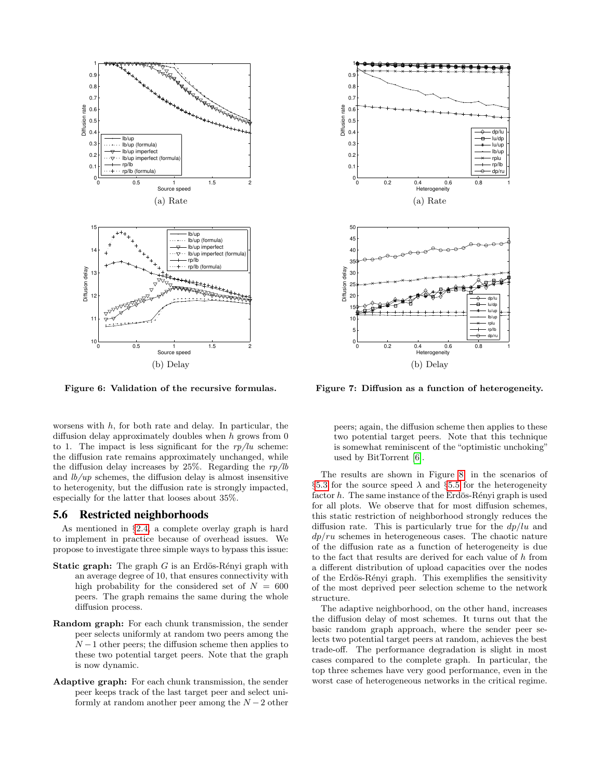<span id="page-7-1"></span><span id="page-7-0"></span>

Figure 6: Validation of the recursive formulas.

worsens with  $h$ , for both rate and delay. In particular, the diffusion delay approximately doubles when h grows from 0 to 1. The impact is less significant for the  $rp/lu$  scheme: the diffusion rate remains approximately unchanged, while the diffusion delay increases by 25%. Regarding the  $rp/lb$ and  $lb/up$  schemes, the diffusion delay is almost insensitive to heterogenity, but the diffusion rate is strongly impacted, especially for the latter that looses about 35%.

#### 5.6 Restricted neighborhoods

As mentioned in §[2.4,](#page-3-4) a complete overlay graph is hard to implement in practice because of overhead issues. We propose to investigate three simple ways to bypass this issue:

- **Static graph:** The graph  $G$  is an Erdös-Rényi graph with an average degree of 10, that ensures connectivity with high probability for the considered set of  $N = 600$ peers. The graph remains the same during the whole diffusion process.
- Random graph: For each chunk transmission, the sender peer selects uniformly at random two peers among the  $N-1$  other peers; the diffusion scheme then applies to these two potential target peers. Note that the graph is now dynamic.
- Adaptive graph: For each chunk transmission, the sender peer keeps track of the last target peer and select uniformly at random another peer among the  $N-2$  other

<span id="page-7-2"></span>

<span id="page-7-3"></span>Figure 7: Diffusion as a function of heterogeneity.

peers; again, the diffusion scheme then applies to these two potential target peers. Note that this technique is somewhat reminiscent of the "optimistic unchoking" used by BitTorrent [\[6\]](#page-9-23).

The results are shown in Figure [8,](#page-8-0) in the scenarios of §[5.3](#page-6-0) for the source speed  $\lambda$  and §[5.5](#page-6-4) for the heterogeneity factor  $h$ . The same instance of the Erdös-Rényi graph is used for all plots. We observe that for most diffusion schemes, this static restriction of neighborhood strongly reduces the diffusion rate. This is particularly true for the  $dp/lu$  and  $dp/ru$  schemes in heterogeneous cases. The chaotic nature of the diffusion rate as a function of heterogeneity is due to the fact that results are derived for each value of  $h$  from a different distribution of upload capacities over the nodes of the Erdös-Rényi graph. This exemplifies the sensitivity of the most deprived peer selection scheme to the network structure.

The adaptive neighborhood, on the other hand, increases the diffusion delay of most schemes. It turns out that the basic random graph approach, where the sender peer selects two potential target peers at random, achieves the best trade-off. The performance degradation is slight in most cases compared to the complete graph. In particular, the top three schemes have very good performance, even in the worst case of heterogeneous networks in the critical regime.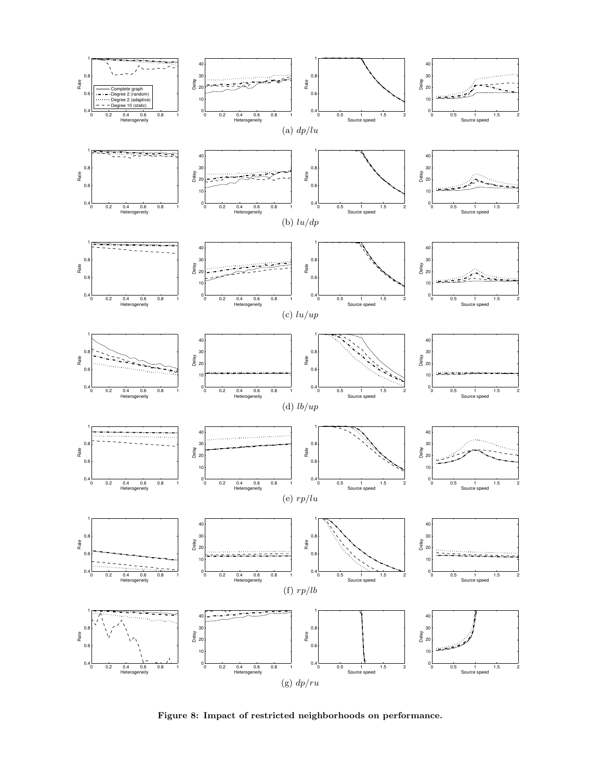

<span id="page-8-0"></span>Figure 8: Impact of restricted neighborhoods on performance.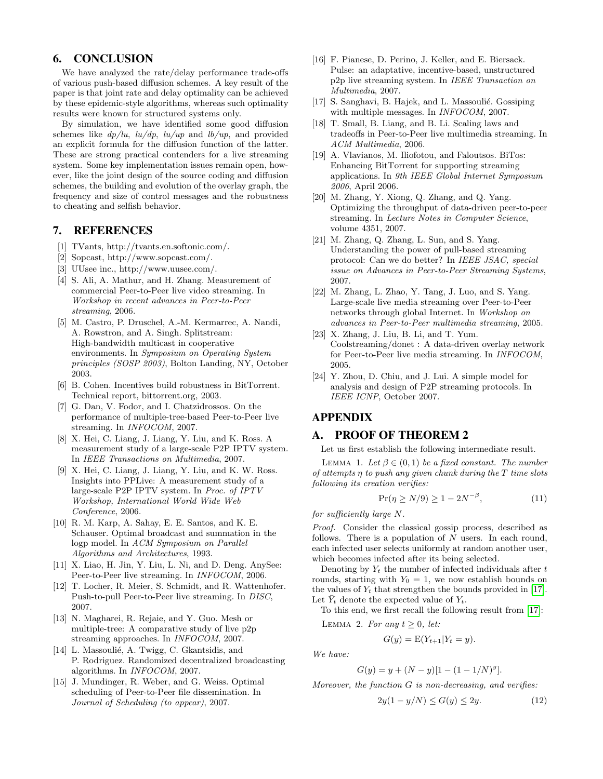# 6. CONCLUSION

We have analyzed the rate/delay performance trade-offs of various push-based diffusion schemes. A key result of the paper is that joint rate and delay optimality can be achieved by these epidemic-style algorithms, whereas such optimality results were known for structured systems only.

By simulation, we have identified some good diffusion schemes like  $dp/lu$ ,  $lu/dp$ ,  $lu/up$  and  $lb/up$ , and provided an explicit formula for the diffusion function of the latter. These are strong practical contenders for a live streaming system. Some key implementation issues remain open, however, like the joint design of the source coding and diffusion schemes, the building and evolution of the overlay graph, the frequency and size of control messages and the robustness to cheating and selfish behavior.

#### 7. REFERENCES

- <span id="page-9-3"></span>[1] TVants, http://tvants.en.softonic.com/.
- <span id="page-9-2"></span>[2] Sopcast, http://www.sopcast.com/.
- <span id="page-9-4"></span>[3] UUsee inc., http://www.uusee.com/.
- <span id="page-9-7"></span>[4] S. Ali, A. Mathur, and H. Zhang. Measurement of commercial Peer-to-Peer live video streaming. In Workshop in recent advances in Peer-to-Peer streaming, 2006.
- <span id="page-9-5"></span>[5] M. Castro, P. Druschel, A.-M. Kermarrec, A. Nandi, A. Rowstron, and A. Singh. Splitstream: High-bandwidth multicast in cooperative environments. In Symposium on Operating System principles (SOSP 2003), Bolton Landing, NY, October 2003.
- <span id="page-9-23"></span>[6] B. Cohen. Incentives build robustness in BitTorrent. Technical report, bittorrent.org, 2003.
- <span id="page-9-14"></span>[7] G. Dan, V. Fodor, and I. Chatzidrossos. On the performance of multiple-tree-based Peer-to-Peer live streaming. In INFOCOM, 2007.
- <span id="page-9-8"></span>[8] X. Hei, C. Liang, J. Liang, Y. Liu, and K. Ross. A measurement study of a large-scale P2P IPTV system. In IEEE Transactions on Multimedia, 2007.
- <span id="page-9-1"></span>[9] X. Hei, C. Liang, J. Liang, Y. Liu, and K. W. Ross. Insights into PPLive: A measurement study of a large-scale P2P IPTV system. In Proc. of IPTV Workshop, International World Wide Web Conference, 2006.
- <span id="page-9-17"></span>[10] R. M. Karp, A. Sahay, E. E. Santos, and K. E. Schauser. Optimal broadcast and summation in the logp model. In ACM Symposium on Parallel Algorithms and Architectures, 1993.
- <span id="page-9-10"></span>[11] X. Liao, H. Jin, Y. Liu, L. Ni, and D. Deng. AnySee: Peer-to-Peer live streaming. In INFOCOM, 2006.
- <span id="page-9-11"></span>[12] T. Locher, R. Meier, S. Schmidt, and R. Wattenhofer. Push-to-pull Peer-to-Peer live streaming. In DISC, 2007.
- <span id="page-9-6"></span>[13] N. Magharei, R. Rejaie, and Y. Guo. Mesh or multiple-tree: A comparative study of live p2p streaming approaches. In INFOCOM, 2007.
- <span id="page-9-21"></span>[14] L. Massoulié, A. Twigg, C. Gkantsidis, and P. Rodriguez. Randomized decentralized broadcasting algorithms. In INFOCOM, 2007.
- <span id="page-9-15"></span>[15] J. Mundinger, R. Weber, and G. Weiss. Optimal scheduling of Peer-to-Peer file dissemination. In Journal of Scheduling (to appear), 2007.
- <span id="page-9-12"></span>[16] F. Pianese, D. Perino, J. Keller, and E. Biersack. Pulse: an adaptative, incentive-based, unstructured p2p live streaming system. In IEEE Transaction on Multimedia, 2007.
- <span id="page-9-22"></span>[17] S. Sanghavi, B. Hajek, and L. Massoulié. Gossiping with multiple messages. In INFOCOM, 2007.
- <span id="page-9-16"></span>[18] T. Small, B. Liang, and B. Li. Scaling laws and tradeoffs in Peer-to-Peer live multimedia streaming. In ACM Multimedia, 2006.
- <span id="page-9-9"></span>[19] A. Vlavianos, M. Iliofotou, and Faloutsos. BiTos: Enhancing BitTorrent for supporting streaming applications. In 9th IEEE Global Internet Symposium 2006, April 2006.
- <span id="page-9-18"></span>[20] M. Zhang, Y. Xiong, Q. Zhang, and Q. Yang. Optimizing the throughput of data-driven peer-to-peer streaming. In Lecture Notes in Computer Science, volume 4351, 2007.
- <span id="page-9-19"></span>[21] M. Zhang, Q. Zhang, L. Sun, and S. Yang. Understanding the power of pull-based streaming protocol: Can we do better? In IEEE JSAC, special issue on Advances in Peer-to-Peer Streaming Systems, 2007.
- <span id="page-9-13"></span>[22] M. Zhang, L. Zhao, Y. Tang, J. Luo, and S. Yang. Large-scale live media streaming over Peer-to-Peer networks through global Internet. In Workshop on advances in Peer-to-Peer multimedia streaming, 2005.
- <span id="page-9-0"></span>[23] X. Zhang, J. Liu, B. Li, and T. Yum. Coolstreaming/donet : A data-driven overlay network for Peer-to-Peer live media streaming. In INFOCOM, 2005.
- <span id="page-9-20"></span>[24] Y. Zhou, D. Chiu, and J. Lui. A simple model for analysis and design of P2P streaming protocols. In IEEE ICNP, October 2007.

# APPENDIX

# <span id="page-9-24"></span>A. PROOF OF THEOREM 2

Let us first establish the following intermediate result.

LEMMA 1. Let  $\beta \in (0,1)$  be a fixed constant. The number of attempts  $\eta$  to push any given chunk during the  $T$  time slots following its creation verifies:

<span id="page-9-27"></span><span id="page-9-26"></span>
$$
\Pr(\eta \ge N/9) \ge 1 - 2N^{-\beta},\tag{11}
$$

for sufficiently large N.

Proof. Consider the classical gossip process, described as follows. There is a population of  $N$  users. In each round, each infected user selects uniformly at random another user, which becomes infected after its being selected.

Denoting by  $Y_t$  the number of infected individuals after  $t$ rounds, starting with  $Y_0 = 1$ , we now establish bounds on the values of  $Y_t$  that strengthen the bounds provided in [\[17\]](#page-9-22). Let  $\bar{Y}_t$  denote the expected value of  $Y_t$ .

To this end, we first recall the following result from [\[17\]](#page-9-22):

LEMMA 2. For any  $t > 0$ , let:

$$
G(y) = \mathbb{E}(Y_{t+1}|Y_t = y).
$$

We have:

$$
G(y) = y + (N - y)[1 - (1 - 1/N)^{y}].
$$

Moreover, the function  $G$  is non-decreasing, and verifies:

<span id="page-9-25"></span>
$$
2y(1 - y/N) \le G(y) \le 2y. \tag{12}
$$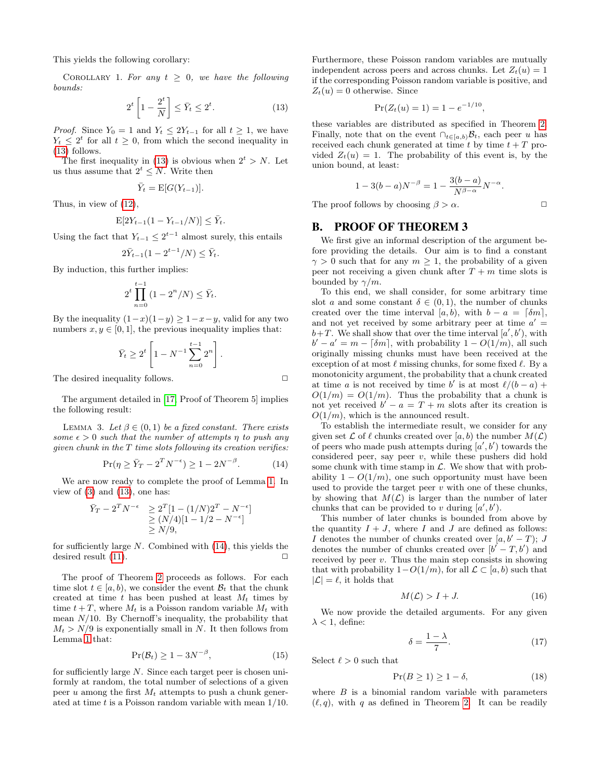This yields the following corollary:

COROLLARY 1. For any  $t > 0$ , we have the following bounds:

<span id="page-10-1"></span>
$$
2^t \left[ 1 - \frac{2^t}{N} \right] \le \bar{Y}_t \le 2^t. \tag{13}
$$

*Proof.* Since  $Y_0 = 1$  and  $Y_t \leq 2Y_{t-1}$  for all  $t \geq 1$ , we have  $Y_t \leq 2^t$  for all  $t \geq 0$ , from which the second inequality in [\(13\)](#page-10-1) follows.

The first inequality in [\(13\)](#page-10-1) is obvious when  $2^t > N$ . Let us thus assume that  $2^t \leq N$ . Write then

$$
\bar{Y}_t = \mathbb{E}[G(Y_{t-1})].
$$

Thus, in view of [\(12\)](#page-9-25),

$$
E[2Y_{t-1}(1 - Y_{t-1}/N)] \le \bar{Y}_t.
$$

Using the fact that  $Y_{t-1} \leq 2^{t-1}$  almost surely, this entails

$$
2\bar{Y}_{t-1}(1 - 2^{t-1}/N) \le \bar{Y}_t.
$$

By induction, this further implies:

$$
2^{t} \prod_{n=0}^{t-1} (1 - 2^{n} / N) \le \bar{Y}_{t}.
$$

By the inequality  $(1-x)(1-y) \geq 1-x-y$ , valid for any two numbers  $x, y \in [0, 1]$ , the previous inequality implies that:

$$
\bar{Y}_t \ge 2^t \left[ 1 - N^{-1} \sum_{n=0}^{t-1} 2^n \right].
$$

The desired inequality follows.  $\Box$ 

The argument detailed in [\[17,](#page-9-22) Proof of Theorem 5] implies the following result:

LEMMA 3. Let  $\beta \in (0,1)$  be a fixed constant. There exists some  $\epsilon > 0$  such that the number of attempts  $\eta$  to push any given chunk in the  $T$  time slots following its creation verifies:

<span id="page-10-2"></span>
$$
\Pr(\eta \ge \bar{Y}_T - 2^T N^{-\epsilon}) \ge 1 - 2N^{-\beta}.\tag{14}
$$

We are now ready to complete the proof of Lemma [1.](#page-9-26) In view of  $(3)$  and  $(13)$ , one has:

$$
\begin{array}{rcl}\n\bar{Y}_T - 2^T N^{-\epsilon} & \geq 2^T [1 - (1/N)2^T - N^{-\epsilon}] \\
& \geq (N/4)[1 - 1/2 - N^{-\epsilon}] \\
& \geq N/9,\n\end{array}
$$

for sufficiently large  $N$ . Combined with  $(14)$ , this yields the desired result  $(11)$ .

The proof of Theorem [2](#page-4-0) proceeds as follows. For each time slot  $t \in [a, b)$ , we consider the event  $\mathcal{B}_t$  that the chunk created at time t has been pushed at least  $M_t$  times by time  $t + T$ , where  $M_t$  is a Poisson random variable  $M_t$  with mean  $N/10$ . By Chernoff's inequality, the probability that  $M_t > N/9$  is exponentially small in N. It then follows from Lemma [1](#page-9-26) that:

$$
\Pr(\mathcal{B}_t) \ge 1 - 3N^{-\beta},\tag{15}
$$

for sufficiently large  $N$ . Since each target peer is chosen uniformly at random, the total number of selections of a given peer u among the first  $M_t$  attempts to push a chunk generated at time  $t$  is a Poisson random variable with mean  $1/10$ . Furthermore, these Poisson random variables are mutually independent across peers and across chunks. Let  $Z_t(u) = 1$ if the corresponding Poisson random variable is positive, and  $Z_t(u) = 0$  otherwise. Since

$$
Pr(Z_t(u) = 1) = 1 - e^{-1/10},
$$

these variables are distributed as specified in Theorem [2.](#page-4-0) Finally, note that on the event  $\bigcap_{t\in[a,b)}\mathcal{B}_t$ , each peer u has received each chunk generated at time t by time  $t + T$  provided  $Z_t(u) = 1$ . The probability of this event is, by the union bound, at least:

$$
1 - 3(b - a)N^{-\beta} = 1 - \frac{3(b - a)}{N^{\beta - \alpha}}N^{-\alpha}.
$$

The proof follows by choosing  $\beta > \alpha$ .

### <span id="page-10-0"></span>B. PROOF OF THEOREM 3

We first give an informal description of the argument before providing the details. Our aim is to find a constant  $\gamma > 0$  such that for any  $m \geq 1$ , the probability of a given peer not receiving a given chunk after  $T + m$  time slots is bounded by  $\gamma/m$ .

To this end, we shall consider, for some arbitrary time slot a and some constant  $\delta \in (0,1)$ , the number of chunks created over the time interval [a, b), with  $b - a = \lceil \delta m \rceil$ , and not yet received by some arbitrary peer at time  $a' =$  $b+T$ . We shall show that over the time interval  $[a', b')$ , with  $b'-a'=m-\lceil \delta m \rceil$ , with probability  $1-O(1/m)$ , all such originally missing chunks must have been received at the exception of at most  $\ell$  missing chunks, for some fixed  $\ell$ . By a monotonicity argument, the probability that a chunk created at time a is not received by time b' is at most  $\ell/(b - a)$  +  $O(1/m) = O(1/m)$ . Thus the probability that a chunk is not yet received  $b' - a = T + m$  slots after its creation is  $O(1/m)$ , which is the announced result.

To establish the intermediate result, we consider for any given set  $\mathcal L$  of  $\ell$  chunks created over [a, b) the number  $M(\mathcal L)$ of peers who made push attempts during  $(a', b')$  towards the considered peer, say peer  $v$ , while these pushers did hold some chunk with time stamp in  $\mathcal{L}$ . We show that with probability  $1 - O(1/m)$ , one such opportunity must have been used to provide the target peer  $v$  with one of these chunks, by showing that  $M(\mathcal{L})$  is larger than the number of later chunks that can be provided to v during  $[a', b']$ .

This number of later chunks is bounded from above by the quantity  $I + J$ , where I and J are defined as follows: I denotes the number of chunks created over [a,  $b' - T$ ); J denotes the number of chunks created over  $[b'-T,b']$  and received by peer  $v$ . Thus the main step consists in showing that with probability  $1-O(1/m)$ , for all  $\mathcal{L} \subset [a, b)$  such that  $|\mathcal{L}| = \ell$ , it holds that

<span id="page-10-3"></span>
$$
M(\mathcal{L}) > I + J. \tag{16}
$$

We now provide the detailed arguments. For any given  $\lambda < 1$ , define:

<span id="page-10-4"></span>
$$
\delta = \frac{1 - \lambda}{7}.\tag{17}
$$

Select  $\ell > 0$  such that

<span id="page-10-5"></span>
$$
\Pr(B \ge 1) \ge 1 - \delta,\tag{18}
$$

where  $B$  is a binomial random variable with parameters  $(\ell, q)$ , with q as defined in Theorem [2.](#page-4-0) It can be readily